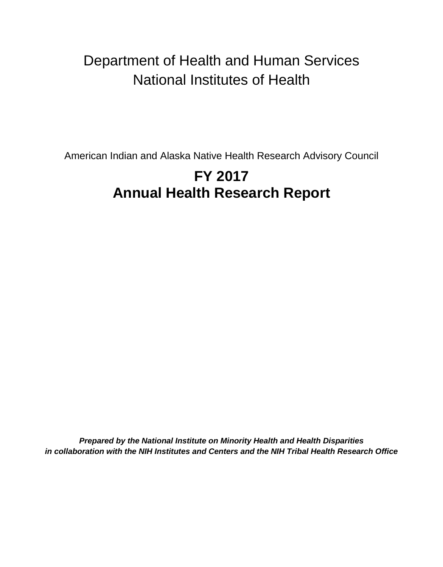## Department of Health and Human Services National Institutes of Health

American Indian and Alaska Native Health Research Advisory Council

# **FY 2017 Annual Health Research Report**

*Prepared by the National Institute on Minority Health and Health Disparities in collaboration with the NIH Institutes and Centers and the NIH Tribal Health Research Office*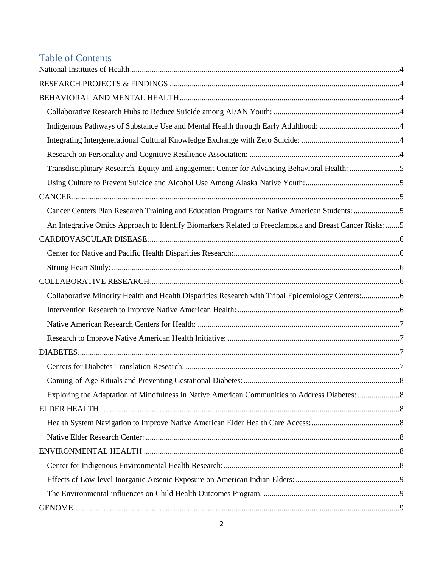## Table of Contents

| Transdisciplinary Research, Equity and Engagement Center for Advancing Behavioral Health: 5            |  |
|--------------------------------------------------------------------------------------------------------|--|
|                                                                                                        |  |
|                                                                                                        |  |
| Cancer Centers Plan Research Training and Education Programs for Native American Students: 5           |  |
| An Integrative Omics Approach to Identify Biomarkers Related to Preeclampsia and Breast Cancer Risks:5 |  |
|                                                                                                        |  |
|                                                                                                        |  |
|                                                                                                        |  |
|                                                                                                        |  |
| Collaborative Minority Health and Health Disparities Research with Tribal Epidemiology Centers:6       |  |
|                                                                                                        |  |
|                                                                                                        |  |
|                                                                                                        |  |
|                                                                                                        |  |
|                                                                                                        |  |
|                                                                                                        |  |
|                                                                                                        |  |
|                                                                                                        |  |
|                                                                                                        |  |
|                                                                                                        |  |
|                                                                                                        |  |
|                                                                                                        |  |
|                                                                                                        |  |
|                                                                                                        |  |
|                                                                                                        |  |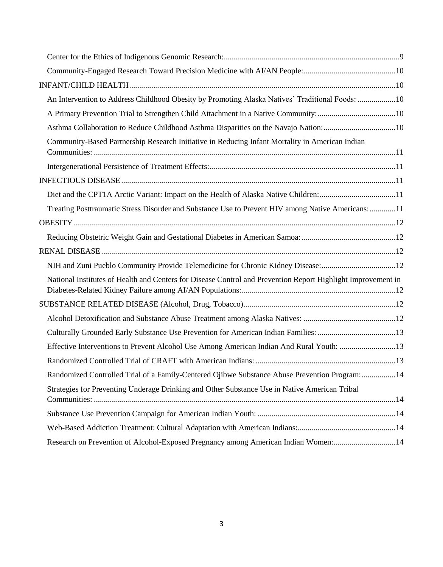<span id="page-2-0"></span>

| An Intervention to Address Childhood Obesity by Promoting Alaska Natives' Traditional Foods: 10              |  |
|--------------------------------------------------------------------------------------------------------------|--|
|                                                                                                              |  |
| Asthma Collaboration to Reduce Childhood Asthma Disparities on the Navajo Nation: 10                         |  |
| Community-Based Partnership Research Initiative in Reducing Infant Mortality in American Indian              |  |
|                                                                                                              |  |
|                                                                                                              |  |
| Diet and the CPT1A Arctic Variant: Impact on the Health of Alaska Native Children: 11                        |  |
| Treating Posttraumatic Stress Disorder and Substance Use to Prevent HIV among Native Americans:11            |  |
|                                                                                                              |  |
|                                                                                                              |  |
|                                                                                                              |  |
| NIH and Zuni Pueblo Community Provide Telemedicine for Chronic Kidney Disease:12                             |  |
| National Institutes of Health and Centers for Disease Control and Prevention Report Highlight Improvement in |  |
|                                                                                                              |  |
|                                                                                                              |  |
| Culturally Grounded Early Substance Use Prevention for American Indian Families: 13                          |  |
| Effective Interventions to Prevent Alcohol Use Among American Indian And Rural Youth: 13                     |  |
|                                                                                                              |  |
| Randomized Controlled Trial of a Family-Centered Ojibwe Substance Abuse Prevention Program: 14               |  |
| Strategies for Preventing Underage Drinking and Other Substance Use in Native American Tribal                |  |
|                                                                                                              |  |
|                                                                                                              |  |
| Research on Prevention of Alcohol-Exposed Pregnancy among American Indian Women:14                           |  |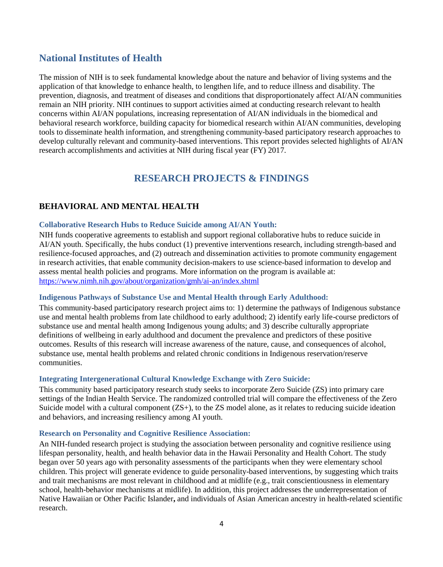## **National Institutes of Health**

The mission of NIH is to seek fundamental knowledge about the nature and behavior of living systems and the application of that knowledge to enhance health, to lengthen life, and to reduce illness and disability. The prevention, diagnosis, and treatment of diseases and conditions that disproportionately affect AI/AN communities remain an NIH priority. NIH continues to support activities aimed at conducting research relevant to health concerns within AI/AN populations, increasing representation of AI/AN individuals in the biomedical and behavioral research workforce, building capacity for biomedical research within AI/AN communities, developing tools to disseminate health information, and strengthening community-based participatory research approaches to develop culturally relevant and community-based interventions. This report provides selected highlights of AI/AN research accomplishments and activities at NIH during fiscal year (FY) 2017.

## **RESEARCH PROJECTS & FINDINGS**

## <span id="page-3-1"></span><span id="page-3-0"></span>**BEHAVIORAL AND MENTAL HEALTH**

#### <span id="page-3-2"></span>**Collaborative Research Hubs to Reduce Suicide among AI/AN Youth:**

NIH funds cooperative agreements to establish and support regional collaborative hubs to reduce suicide in AI/AN youth. Specifically, the hubs conduct (1) preventive interventions research, including strength-based and resilience-focused approaches, and (2) outreach and dissemination activities to promote community engagement in research activities, that enable community decision-makers to use science-based information to develop and assess mental health policies and programs. More information on the program is available at: <https://www.nimh.nih.gov/about/organization/gmh/ai-an/index.shtml>

#### <span id="page-3-3"></span>**Indigenous Pathways of Substance Use and Mental Health through Early Adulthood:**

This community-based participatory research project aims to: 1) determine the pathways of Indigenous substance use and mental health problems from late childhood to early adulthood; 2) identify early life-course predictors of substance use and mental health among Indigenous young adults; and 3) describe culturally appropriate definitions of wellbeing in early adulthood and document the prevalence and predictors of these positive outcomes. Results of this research will increase awareness of the nature, cause, and consequences of alcohol, substance use, mental health problems and related chronic conditions in Indigenous reservation/reserve communities.

#### <span id="page-3-4"></span>**Integrating Intergenerational Cultural Knowledge Exchange with Zero Suicide:**

This community based participatory research study seeks to incorporate Zero Suicide (ZS) into primary care settings of the Indian Health Service. The randomized controlled trial will compare the effectiveness of the Zero Suicide model with a cultural component  $(ZS+)$ , to the ZS model alone, as it relates to reducing suicide ideation and behaviors, and increasing resiliency among AI youth.

#### <span id="page-3-5"></span>**Research on Personality and Cognitive Resilience Association:**

An NIH-funded research project is studying the association between personality and cognitive resilience using lifespan personality, health, and health behavior data in the Hawaii Personality and Health Cohort. The study began over 50 years ago with personality assessments of the participants when they were elementary school children. This project will generate evidence to guide personality-based interventions, by suggesting which traits and trait mechanisms are most relevant in childhood and at midlife (e.g., trait conscientiousness in elementary school, health-behavior mechanisms at midlife). In addition, this project addresses the underrepresentation of Native Hawaiian or Other Pacific Islander**,** and individuals of Asian American ancestry in health-related scientific research.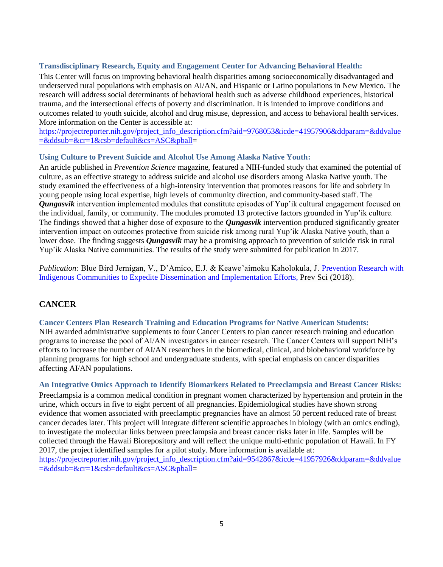#### <span id="page-4-0"></span>**Transdisciplinary Research, Equity and Engagement Center for Advancing Behavioral Health:**

This Center will focus on improving behavioral health disparities among socioeconomically disadvantaged and underserved rural populations with emphasis on AI/AN, and Hispanic or Latino populations in New Mexico. The research will address social determinants of behavioral health such as adverse childhood experiences, historical trauma, and the intersectional effects of poverty and discrimination. It is intended to improve conditions and outcomes related to youth suicide, alcohol and drug misuse, depression, and access to behavioral health services. More information on the Center is accessible at:

[https://projectreporter.nih.gov/project\\_info\\_description.cfm?aid=9768053&icde=41957906&ddparam=&ddvalue](https://projectreporter.nih.gov/project_info_description.cfm?aid=9768053&icde=41957906&ddparam=&ddvalue=&ddsub=&cr=1&csb=default&cs=ASC&pball) [=&ddsub=&cr=1&csb=default&cs=ASC&pball=](https://projectreporter.nih.gov/project_info_description.cfm?aid=9768053&icde=41957906&ddparam=&ddvalue=&ddsub=&cr=1&csb=default&cs=ASC&pball)

#### <span id="page-4-1"></span>**Using Culture to Prevent Suicide and Alcohol Use Among Alaska Native Youth:**

An article published in *[Prevention Science](https://link.springer.com/journal/11121/onlineFirst/page/1.)* magazine*,* featured a NIH-funded study that examined the potential of culture, as an effective strategy to address suicide and alcohol use disorders among Alaska Native youth. The study examined the effectiveness of a high-intensity intervention that promotes reasons for life and sobriety in young people using local expertise, high levels of community direction, and community-based staff. The *Qungasvik* intervention implemented modules that constitute episodes of Yup'ik cultural engagement focused on the individual, family, or community. The modules promoted 13 protective factors grounded in Yup'ik culture. The findings showed that a higher dose of exposure to the *Qungasvik* intervention produced significantly greater intervention impact on outcomes protective from suicide risk among rural Yup'ik Alaska Native youth, than a lower dose. The finding suggests *Qungasvik* may be a promising approach to prevention of suicide risk in rural Yup'ik Alaska Native communities. The results of the study were submitted for publication in 2017.

*Publication:* Blue Bird Jernigan, V., D'Amico, E.J. & Keawe'aimoku Kaholokula, J. [Prevention Research with](https://www.ncbi.nlm.nih.gov/pubmed/?term=Prevention+Research+with+Indigenous+Communities+to+Expedite+Dissemination+and+Implementation+Efforts)  [Indigenous Communities to Expedite Dissemination and Implementation Efforts,](https://www.ncbi.nlm.nih.gov/pubmed/?term=Prevention+Research+with+Indigenous+Communities+to+Expedite+Dissemination+and+Implementation+Efforts) Prev Sci (2018).

## <span id="page-4-2"></span>**CANCER**

#### <span id="page-4-3"></span>**Cancer Centers Plan Research Training and Education Programs for Native American Students:**

NIH awarded administrative supplements to four Cancer Centers to plan cancer research training and education programs to increase the pool of AI/AN investigators in cancer research. The Cancer Centers will support NIH's efforts to increase the number of AI/AN researchers in the biomedical, clinical, and biobehavioral workforce by planning programs for high school and undergraduate students, with special emphasis on cancer disparities affecting AI/AN populations.

#### <span id="page-4-4"></span>**An Integrative Omics Approach to Identify Biomarkers Related to Preeclampsia and Breast Cancer Risks:**

Preeclampsia is a common medical condition in pregnant women characterized by hypertension and protein in the urine, which occurs in five to eight percent of all pregnancies. Epidemiological studies have shown strong evidence that women associated with preeclamptic pregnancies have an almost 50 percent reduced rate of breast cancer decades later. This project will integrate different scientific approaches in biology (with an omics ending), to investigate the molecular links between preeclampsia and breast cancer risks later in life. Samples will be collected through the Hawaii Biorepository and will reflect the unique multi-ethnic population of Hawaii. In FY 2017, the project identified samples for a pilot study. More information is available at: [https://projectreporter.nih.gov/project\\_info\\_description.cfm?aid=9542867&icde=41957926&ddparam=&ddvalue](https://projectreporter.nih.gov/project_info_description.cfm?aid=9542867&icde=41957926&ddparam=&ddvalue=&ddsub=&cr=1&csb=default&cs=ASC&pball) [=&ddsub=&cr=1&csb=default&cs=ASC&pball=](https://projectreporter.nih.gov/project_info_description.cfm?aid=9542867&icde=41957926&ddparam=&ddvalue=&ddsub=&cr=1&csb=default&cs=ASC&pball)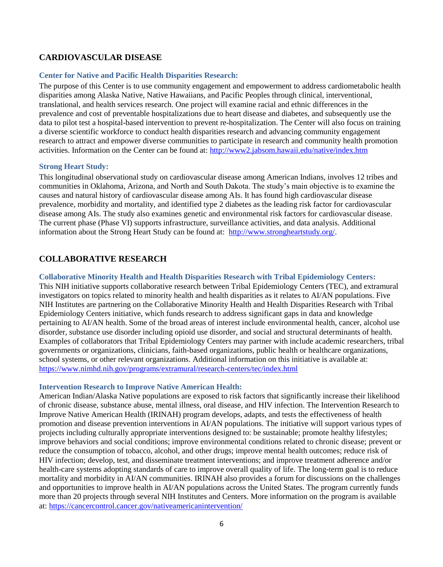## <span id="page-5-0"></span>**CARDIOVASCULAR DISEASE**

#### <span id="page-5-1"></span>**Center for Native and Pacific Health Disparities Research:**

The purpose of this Center is to use community engagement and empowerment to address cardiometabolic health disparities among Alaska Native, Native Hawaiians, and Pacific Peoples through clinical, interventional, translational, and health services research. One project will examine racial and ethnic differences in the prevalence and cost of preventable hospitalizations due to heart disease and diabetes, and subsequently use the data to pilot test a hospital-based intervention to prevent re-hospitalization. The Center will also focus on training a diverse scientific workforce to conduct health disparities research and advancing community engagement research to attract and empower diverse communities to participate in research and community health promotion activities. Information on the Center can be found at:<http://www2.jabsom.hawaii.edu/native/index.htm>

#### <span id="page-5-2"></span>**Strong Heart Study:**

This longitudinal observational study on cardiovascular disease among American Indians, involves 12 tribes and communities in Oklahoma, Arizona, and North and South Dakota. The study's main objective is to examine the causes and natural history of cardiovascular disease among AIs. It has found high cardiovascular disease prevalence, morbidity and mortality, and identified type 2 diabetes as the leading risk factor for cardiovascular disease among AIs. The study also examines genetic and environmental risk factors for cardiovascular disease. The current phase (Phase VI) supports infrastructure, surveillance activities, and data analysis. Additional information about the Strong Heart Study can be found at: [http://www.strongheartstudy.org/.](http://www.strongheartstudy.org/)

## <span id="page-5-3"></span>**COLLABORATIVE RESEARCH**

#### <span id="page-5-4"></span>**Collaborative Minority Health and Health Disparities Research with Tribal Epidemiology Centers:**

This NIH initiative supports collaborative research between Tribal Epidemiology Centers (TEC), and extramural investigators on topics related to minority health and health disparities as it relates to AI/AN populations. Five NIH Institutes are partnering on the Collaborative Minority Health and Health Disparities Research with Tribal Epidemiology Centers initiative, which funds research to address significant gaps in data and knowledge pertaining to AI/AN health. Some of the broad areas of interest include environmental health, cancer, alcohol use disorder, substance use disorder including opioid use disorder, and social and structural determinants of health. Examples of collaborators that Tribal Epidemiology Centers may partner with include academic researchers, tribal governments or organizations, clinicians, faith-based organizations, public health or healthcare organizations, school systems, or other relevant organizations. Additional information on this initiative is available at: <https://www.nimhd.nih.gov/programs/extramural/research-centers/tec/index.html>

#### <span id="page-5-5"></span>**Intervention Research to Improve Native American Health:**

American Indian/Alaska Native populations are exposed to risk factors that significantly increase their likelihood of chronic disease, substance abuse, mental illness, oral disease, and HIV infection. The Intervention Research to Improve Native American Health (IRINAH) program develops, adapts, and tests the effectiveness of health promotion and disease prevention interventions in AI/AN populations. The initiative will support various types of projects including culturally appropriate interventions designed to: be sustainable; promote healthy lifestyles; improve behaviors and social conditions; improve environmental conditions related to chronic disease; prevent or reduce the consumption of tobacco, alcohol, and other drugs; improve mental health outcomes; reduce risk of HIV infection; develop, test, and disseminate treatment interventions; and improve treatment adherence and/or health-care systems adopting standards of care to improve overall quality of life. The long-term goal is to reduce mortality and morbidity in AI/AN communities. IRINAH also provides a forum for discussions on the challenges and opportunities to improve health in AI/AN populations across the United States. The program currently funds more than 20 projects through several NIH Institutes and Centers. More information on the program is available at[: https://cancercontrol.cancer.gov/nativeamericanintervention/](https://cancercontrol.cancer.gov/nativeamericanintervention/)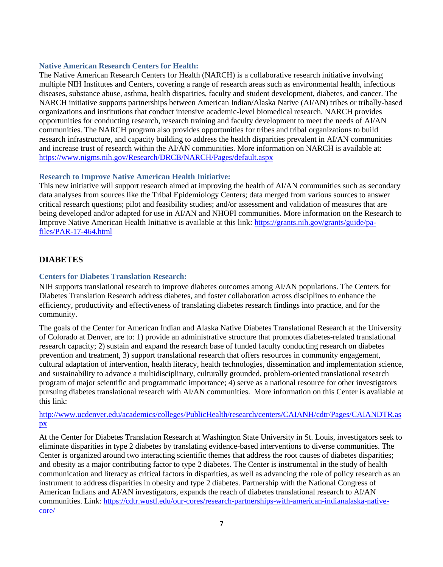#### <span id="page-6-0"></span>**Native American Research Centers for Health:**

The Native American Research Centers for Health (NARCH) is a collaborative research initiative involving multiple NIH Institutes and Centers, covering a range of research areas such as environmental health, infectious diseases, substance abuse, asthma, health disparities, faculty and student development, diabetes, and cancer. The NARCH initiative supports partnerships between American Indian/Alaska Native (AI/AN) tribes or tribally-based organizations and institutions that conduct intensive academic-level biomedical research. NARCH provides opportunities for conducting research, research training and faculty development to meet the needs of AI/AN communities. The NARCH program also provides opportunities for tribes and tribal organizations to build research infrastructure, and capacity building to address the health disparities prevalent in AI/AN communities and increase trust of research within the AI/AN communities. More information on NARCH is available at: <https://www.nigms.nih.gov/Research/DRCB/NARCH/Pages/default.aspx>

#### <span id="page-6-1"></span>**Research to Improve Native American Health Initiative:**

This new initiative will support research aimed at improving the health of AI/AN communities such as secondary data analyses from sources like the Tribal Epidemiology Centers; data merged from various sources to answer critical research questions; pilot and feasibility studies; and/or assessment and validation of measures that are being developed and/or adapted for use in AI/AN and NHOPI communities. More information on the Research to Improve Native American Health Initiative is available at this link: [https://grants.nih.gov/grants/guide/pa](https://grants.nih.gov/grants/guide/pa-files/PAR-17-464.html)[files/PAR-17-464.html](https://grants.nih.gov/grants/guide/pa-files/PAR-17-464.html)

#### <span id="page-6-2"></span>**DIABETES**

#### <span id="page-6-3"></span>**Centers for Diabetes Translation Research:**

NIH supports translational research to improve diabetes outcomes among AI/AN populations. The Centers for Diabetes Translation Research address diabetes, and foster collaboration across disciplines to enhance the efficiency, productivity and effectiveness of translating diabetes research findings into practice, and for the community.

The goals of the Center for American Indian and Alaska Native Diabetes Translational Research at the University of Colorado at Denver, are to: 1) provide an administrative structure that promotes diabetes-related translational research capacity; 2) sustain and expand the research base of funded faculty conducting research on diabetes prevention and treatment, 3) support translational research that offers resources in community engagement, cultural adaptation of intervention, health literacy, health technologies, dissemination and implementation science, and sustainability to advance a multidisciplinary, culturally grounded, problem-oriented translational research program of major scientific and programmatic importance; 4) serve as a national resource for other investigators pursuing diabetes translational research with AI/AN communities. More information on this Center is available at this link:

#### [http://www.ucdenver.edu/academics/colleges/PublicHealth/research/centers/CAIANH/cdtr/Pages/CAIANDTR.as](http://www.ucdenver.edu/academics/colleges/PublicHealth/research/centers/CAIANH/cdtr/Pages/CAIANDTR.aspx) [px](http://www.ucdenver.edu/academics/colleges/PublicHealth/research/centers/CAIANH/cdtr/Pages/CAIANDTR.aspx)

At the Center for Diabetes Translation Research at Washington State University in St. Louis, investigators seek to eliminate disparities in type 2 diabetes by translating evidence-based interventions to diverse communities. The Center is organized around two interacting scientific themes that address the root causes of diabetes disparities; and obesity as a major contributing factor to type 2 diabetes. The Center is instrumental in the study of health communication and literacy as critical factors in disparities, as well as advancing the role of policy research as an instrument to address disparities in obesity and type 2 diabetes. Partnership with the National Congress of American Indians and AI/AN investigators, expands the reach of diabetes translational research to AI/AN communities. Link: [https://cdtr.wustl.edu/our-cores/research-partnerships-with-american-indianalaska-native](https://cdtr.wustl.edu/our-cores/research-partnerships-with-american-indianalaska-native-core/)[core/](https://cdtr.wustl.edu/our-cores/research-partnerships-with-american-indianalaska-native-core/)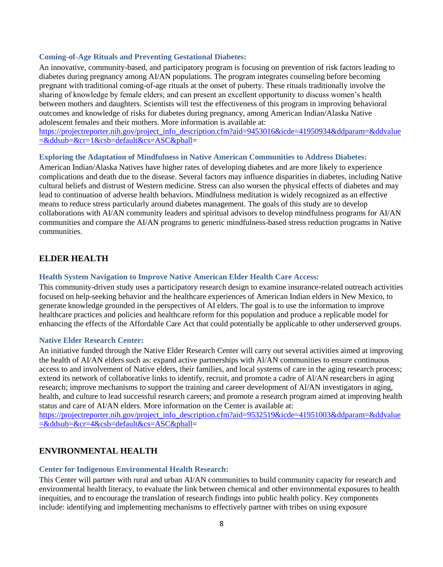#### <span id="page-7-0"></span>**Coming-of-Age Rituals and Preventing Gestational Diabetes:**

An innovative, community-based, and participatory program is focusing on prevention of risk factors leading to diabetes during pregnancy among AI/AN populations. The program integrates counseling before becoming pregnant with traditional coming-of-age rituals at the onset of puberty. These rituals traditionally involve the sharing of knowledge by female elders; and can present an excellent opportunity to discuss women's health between mothers and daughters. Scientists will test the effectiveness of this program in improving behavioral outcomes and knowledge of risks for diabetes during pregnancy, among American Indian/Alaska Native adolescent females and their mothers. More information is available at:

[https://projectreporter.nih.gov/project\\_info\\_description.cfm?aid=9453016&icde=41950934&ddparam=&ddvalue](https://projectreporter.nih.gov/project_info_description.cfm?aid=9453016&icde=41950934&ddparam=&ddvalue=&ddsub=&cr=1&csb=default&cs=ASC&pball) [=&ddsub=&cr=1&csb=default&cs=ASC&pball=](https://projectreporter.nih.gov/project_info_description.cfm?aid=9453016&icde=41950934&ddparam=&ddvalue=&ddsub=&cr=1&csb=default&cs=ASC&pball)

#### <span id="page-7-1"></span>**Exploring the Adaptation of Mindfulness in Native American Communities to Address Diabetes:**

American Indian/Alaska Natives have higher rates of developing diabetes and are more likely to experience complications and death due to the disease. Several factors may influence disparities in diabetes, including Native cultural beliefs and distrust of Western medicine. Stress can also worsen the physical effects of diabetes and may lead to continuation of adverse health behaviors. Mindfulness meditation is widely recognized as an effective means to reduce stress particularly around diabetes management. The goals of this study are to develop collaborations with AI/AN community leaders and spiritual advisors to develop mindfulness programs for AI/AN communities and compare the AI/AN programs to generic mindfulness-based stress reduction programs in Native communities.

## <span id="page-7-2"></span>**ELDER HEALTH**

#### <span id="page-7-3"></span>**Health System Navigation to Improve Native American Elder Health Care Access:**

This community-driven study uses a participatory research design to examine insurance-related outreach activities focused on help-seeking behavior and the healthcare experiences of American Indian elders in New Mexico, to generate knowledge grounded in the perspectives of AI elders. The goal is to use the information to improve healthcare practices and policies and healthcare reform for this population and produce a replicable model for enhancing the effects of the Affordable Care Act that could potentially be applicable to other underserved groups.

#### <span id="page-7-4"></span>**Native Elder Research Center:**

An initiative funded through the Native Elder Research Center will carry out several activities aimed at improving the health of AI/AN elders such as: expand active partnerships with Al/AN communities to ensure continuous access to and involvement of Native elders, their families, and local systems of care in the aging research process; extend its network of collaborative links to identify, recruit, and promote a cadre of Al/AN researchers in aging research; improve mechanisms to support the training and career development of Al/AN investigators in aging, health, and culture to lead successful research careers; and promote a research program aimed at improving health status and care of AI/AN elders. More information on the Center is available at:

[https://projectreporter.nih.gov/project\\_info\\_description.cfm?aid=9532519&icde=41951003&ddparam=&ddvalue](https://projectreporter.nih.gov/project_info_description.cfm?aid=9532519&icde=41951003&ddparam=&ddvalue=&ddsub=&cr=4&csb=default&cs=ASC&pball) [=&ddsub=&cr=4&csb=default&cs=ASC&pball=](https://projectreporter.nih.gov/project_info_description.cfm?aid=9532519&icde=41951003&ddparam=&ddvalue=&ddsub=&cr=4&csb=default&cs=ASC&pball)

#### <span id="page-7-5"></span>**ENVIRONMENTAL HEALTH**

#### <span id="page-7-6"></span>**Center for Indigenous Environmental Health Research:**

This Center will partner with rural and urban AI/AN communities to build community capacity for research and environmental health literacy, to evaluate the link between chemical and other environmental exposures to health inequities, and to encourage the translation of research findings into public health policy. Key components include: identifying and implementing mechanisms to effectively partner with tribes on using exposure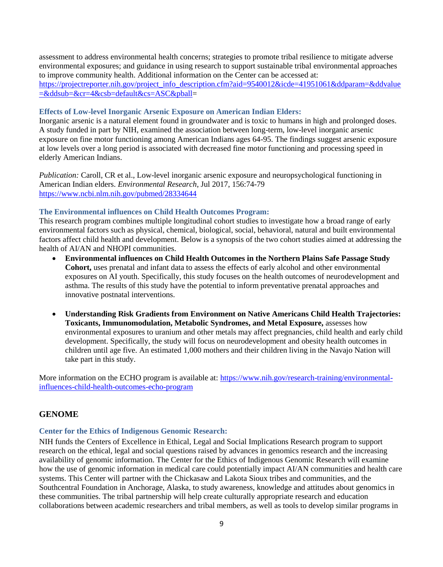assessment to address environmental health concerns; strategies to promote tribal resilience to mitigate adverse environmental exposures; and guidance in using research to support sustainable tribal environmental approaches to improve community health. Additional information on the Center can be accessed at: [https://projectreporter.nih.gov/project\\_info\\_description.cfm?aid=9540012&icde=41951061&ddparam=&ddvalue](https://projectreporter.nih.gov/project_info_description.cfm?aid=9540012&icde=41951061&ddparam=&ddvalue=&ddsub=&cr=4&csb=default&cs=ASC&pball) [=&ddsub=&cr=4&csb=default&cs=ASC&pball=](https://projectreporter.nih.gov/project_info_description.cfm?aid=9540012&icde=41951061&ddparam=&ddvalue=&ddsub=&cr=4&csb=default&cs=ASC&pball)

#### <span id="page-8-0"></span>**Effects of Low-level Inorganic Arsenic Exposure on American Indian Elders:**

Inorganic arsenic is a natural element found in groundwater and is toxic to humans in high and prolonged doses. A study funded in part by NIH, examined the association between long-term, low-level inorganic arsenic exposure on fine motor functioning among American Indians ages 64-95. The findings suggest arsenic exposure at low levels over a long period is associated with decreased fine motor functioning and processing speed in elderly American Indians.

*Publication:* Caroll, CR et al., Low-level inorganic arsenic exposure and neuropsychological functioning in American Indian elders. *Environmental Research*, Jul 2017, 156:74-79 <https://www.ncbi.nlm.nih.gov/pubmed/28334644>

#### <span id="page-8-1"></span>**The Environmental influences on Child Health Outcomes Program:**

This research program combines multiple longitudinal cohort studies to investigate how a broad range of early environmental factors such as physical, chemical, biological, social, behavioral, natural and built environmental factors affect child health and development. Below is a synopsis of the two cohort studies aimed at addressing the health of AI/AN and NHOPI communities.

- **Environmental influences on Child Health Outcomes in the Northern Plains Safe Passage Study Cohort,** uses prenatal and infant data to assess the effects of early alcohol and other environmental exposures on AI youth. Specifically, this study focuses on the health outcomes of neurodevelopment and asthma. The results of this study have the potential to inform preventative prenatal approaches and innovative postnatal interventions.
- **Understanding Risk Gradients from Environment on Native Americans Child Health Trajectories: Toxicants, Immunomodulation, Metabolic Syndromes, and Metal Exposure,** assesses how environmental exposures to uranium and other metals may affect pregnancies, child health and early child development. Specifically, the study will focus on neurodevelopment and obesity health outcomes in children until age five. An estimated 1,000 mothers and their children living in the Navajo Nation will take part in this study.

More information on the ECHO program is available at: [https://www.nih.gov/research-training/environmental](https://www.nih.gov/research-training/environmental-influences-child-health-outcomes-echo-program)[influences-child-health-outcomes-echo-program](https://www.nih.gov/research-training/environmental-influences-child-health-outcomes-echo-program)

## <span id="page-8-2"></span>**GENOME**

#### <span id="page-8-3"></span>**Center for the Ethics of Indigenous Genomic Research:**

NIH funds the Centers of Excellence in Ethical, Legal and Social Implications Research program to support research on the ethical, legal and social questions raised by advances in genomics research and the increasing availability of genomic information. The Center for the Ethics of Indigenous Genomic Research will examine how the use of genomic information in medical care could potentially impact AI/AN communities and health care systems. This Center will partner with the Chickasaw and Lakota Sioux tribes and communities, and the Southcentral Foundation in Anchorage, Alaska, to study awareness, knowledge and attitudes about genomics in these communities. The tribal partnership will help create culturally appropriate research and education collaborations between academic researchers and tribal members, as well as tools to develop similar programs in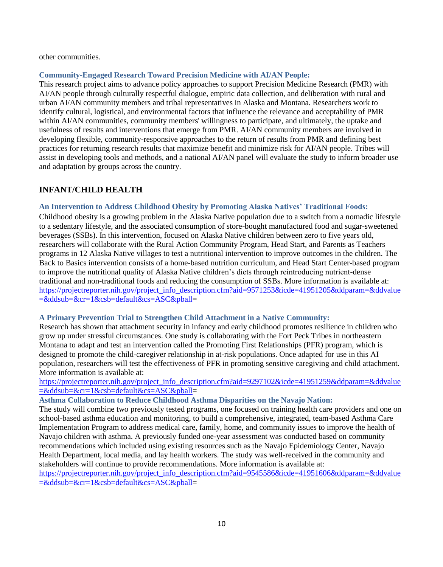other communities.

#### <span id="page-9-0"></span>**Community-Engaged Research Toward Precision Medicine with AI/AN People:**

This research project aims to advance policy approaches to support Precision Medicine Research (PMR) with AI/AN people through culturally respectful dialogue, empiric data collection, and deliberation with rural and urban AI/AN community members and tribal representatives in Alaska and Montana. Researchers work to identify cultural, logistical, and environmental factors that influence the relevance and acceptability of PMR within AI/AN communities, community members' willingness to participate, and ultimately, the uptake and usefulness of results and interventions that emerge from PMR. AI/AN community members are involved in developing flexible, community-responsive approaches to the return of results from PMR and defining best practices for returning research results that maximize benefit and minimize risk for AI/AN people. Tribes will assist in developing tools and methods, and a national AI/AN panel will evaluate the study to inform broader use and adaptation by groups across the country.

## <span id="page-9-1"></span>**INFANT/CHILD HEALTH**

## <span id="page-9-2"></span>**An Intervention to Address Childhood Obesity by Promoting Alaska Natives' Traditional Foods:**

Childhood obesity is a growing problem in the Alaska Native population due to a switch from a nomadic lifestyle to a sedentary lifestyle, and the associated consumption of store-bought manufactured food and sugar-sweetened beverages (SSBs). In this intervention, focused on Alaska Native children between zero to five years old, researchers will collaborate with the Rural Action Community Program, Head Start, and Parents as Teachers programs in 12 Alaska Native villages to test a nutritional intervention to improve outcomes in the children. The Back to Basics intervention consists of a home-based nutrition curriculum, and Head Start Center-based program to improve the nutritional quality of Alaska Native children's diets through reintroducing nutrient-dense traditional and non-traditional foods and reducing the consumption of SSBs. More information is available at: [https://projectreporter.nih.gov/project\\_info\\_description.cfm?aid=9571253&icde=41951205&ddparam=&ddvalue](https://projectreporter.nih.gov/project_info_description.cfm?aid=9571253&icde=41951205&ddparam=&ddvalue=&ddsub=&cr=1&csb=default&cs=ASC&pball) [=&ddsub=&cr=1&csb=default&cs=ASC&pball=](https://projectreporter.nih.gov/project_info_description.cfm?aid=9571253&icde=41951205&ddparam=&ddvalue=&ddsub=&cr=1&csb=default&cs=ASC&pball)

#### <span id="page-9-3"></span>**A Primary Prevention Trial to Strengthen Child Attachment in a Native Community:**

Research has shown that attachment security in infancy and early childhood promotes resilience in children who grow up under stressful circumstances. One study is collaborating with the Fort Peck Tribes in northeastern Montana to adapt and test an intervention called the Promoting First Relationships (PFR) program, which is designed to promote the child-caregiver relationship in at-risk populations. Once adapted for use in this AI population, researchers will test the effectiveness of PFR in promoting sensitive caregiving and child attachment. More information is available at:

## [https://projectreporter.nih.gov/project\\_info\\_description.cfm?aid=9297102&icde=41951259&ddparam=&ddvalue](https://projectreporter.nih.gov/project_info_description.cfm?aid=9297102&icde=41951259&ddparam=&ddvalue=&ddsub=&cr=1&csb=default&cs=ASC&pball) [=&ddsub=&cr=1&csb=default&cs=ASC&pball=](https://projectreporter.nih.gov/project_info_description.cfm?aid=9297102&icde=41951259&ddparam=&ddvalue=&ddsub=&cr=1&csb=default&cs=ASC&pball)

#### <span id="page-9-4"></span>**Asthma Collaboration to Reduce Childhood Asthma Disparities on the Navajo Nation:**

The study will combine two previously tested programs, one focused on training health care providers and one on school-based asthma education and monitoring, to build a comprehensive, integrated, team-based Asthma Care Implementation Program to address medical care, family, home, and community issues to improve the health of Navajo children with asthma. A previously funded one-year assessment was conducted based on community recommendations which included using existing resources such as the Navajo Epidemiology Center, Navajo Health Department, local media, and lay health workers. The study was well-received in the community and stakeholders will continue to provide recommendations. More information is available at:

[https://projectreporter.nih.gov/project\\_info\\_description.cfm?aid=9545586&icde=41951606&ddparam=&ddvalue](https://projectreporter.nih.gov/project_info_description.cfm?aid=9545586&icde=41951606&ddparam=&ddvalue=&ddsub=&cr=1&csb=default&cs=ASC&pball) [=&ddsub=&cr=1&csb=default&cs=ASC&pball=](https://projectreporter.nih.gov/project_info_description.cfm?aid=9545586&icde=41951606&ddparam=&ddvalue=&ddsub=&cr=1&csb=default&cs=ASC&pball)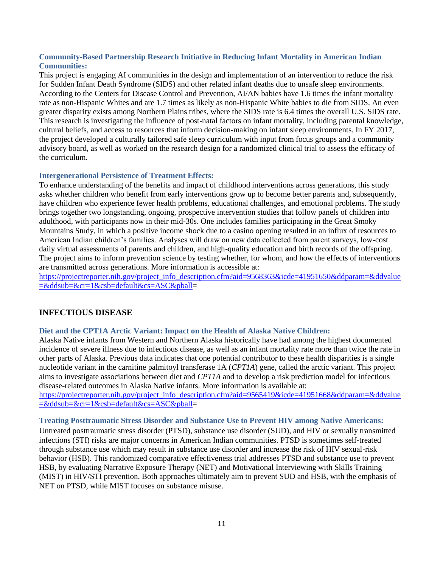#### <span id="page-10-0"></span>**Community-Based Partnership Research Initiative in Reducing Infant Mortality in American Indian Communities:**

This project is engaging AI communities in the design and implementation of an intervention to reduce the risk for Sudden Infant Death Syndrome (SIDS) and other related infant deaths due to unsafe sleep environments. According to the Centers for Disease Control and Prevention, AI/AN babies have 1.6 times the infant mortality rate as non-Hispanic Whites and are 1.7 times as likely as non-Hispanic White babies to die from SIDS. An even greater disparity exists among Northern Plains tribes, where the SIDS rate is 6.4 times the overall U.S. SIDS rate. This research is investigating the influence of post-natal factors on infant mortality, including parental knowledge, cultural beliefs, and access to resources that inform decision-making on infant sleep environments. In FY 2017, the project developed a culturally tailored safe sleep curriculum with input from focus groups and a community advisory board, as well as worked on the research design for a randomized clinical trial to assess the efficacy of the curriculum.

#### <span id="page-10-1"></span>**Intergenerational Persistence of Treatment Effects:**

To enhance understanding of the benefits and impact of childhood interventions across generations, this study asks whether children who benefit from early interventions grow up to become better parents and, subsequently, have children who experience fewer health problems, educational challenges, and emotional problems. The study brings together two longstanding, ongoing, prospective intervention studies that follow panels of children into adulthood, with participants now in their mid-30s. One includes families participating in the Great Smoky Mountains Study, in which a positive income shock due to a casino opening resulted in an influx of resources to American Indian children's families. Analyses will draw on new data collected from parent surveys, low-cost daily virtual assessments of parents and children, and high-quality education and birth records of the offspring. The project aims to inform prevention science by testing whether, for whom, and how the effects of interventions are transmitted across generations. More information is accessible at:

<span id="page-10-2"></span>[https://projectreporter.nih.gov/project\\_info\\_description.cfm?aid=9568363&icde=41951650&ddparam=&ddvalue](https://projectreporter.nih.gov/project_info_description.cfm?aid=9568363&icde=41951650&ddparam=&ddvalue=&ddsub=&cr=1&csb=default&cs=ASC&pball) [=&ddsub=&cr=1&csb=default&cs=ASC&pball=](https://projectreporter.nih.gov/project_info_description.cfm?aid=9568363&icde=41951650&ddparam=&ddvalue=&ddsub=&cr=1&csb=default&cs=ASC&pball)

## **INFECTIOUS DISEASE**

#### <span id="page-10-3"></span>**Diet and the CPT1A Arctic Variant: Impact on the Health of Alaska Native Children:**

Alaska Native infants from Western and Northern Alaska historically have had among the highest documented incidence of severe illness due to infectious disease, as well as an infant mortality rate more than twice the rate in other parts of Alaska. Previous data indicates that one potential contributor to these health disparities is a single nucleotide variant in the carnitine palmitoyl transferase 1A (*CPT1A*) gene, called the arctic variant. This project aims to investigate associations between diet and *CPT1A* and to develop a risk prediction model for infectious disease-related outcomes in Alaska Native infants. More information is available at:

[https://projectreporter.nih.gov/project\\_info\\_description.cfm?aid=9565419&icde=41951668&ddparam=&ddvalue](https://projectreporter.nih.gov/project_info_description.cfm?aid=9565419&icde=41951668&ddparam=&ddvalue=&ddsub=&cr=1&csb=default&cs=ASC&pball) [=&ddsub=&cr=1&csb=default&cs=ASC&pball=](https://projectreporter.nih.gov/project_info_description.cfm?aid=9565419&icde=41951668&ddparam=&ddvalue=&ddsub=&cr=1&csb=default&cs=ASC&pball)

#### <span id="page-10-4"></span>**Treating Posttraumatic Stress Disorder and Substance Use to Prevent HIV among Native Americans:**

Untreated posttraumatic stress disorder (PTSD), substance use disorder (SUD), and HIV or sexually transmitted infections (STI) risks are major concerns in American Indian communities. PTSD is sometimes self-treated through substance use which may result in substance use disorder and increase the risk of HIV sexual-risk behavior (HSB). This randomized comparative effectiveness trial addresses PTSD and substance use to prevent HSB, by evaluating Narrative Exposure Therapy (NET) and Motivational Interviewing with Skills Training (MIST) in HIV/STI prevention. Both approaches ultimately aim to prevent SUD and HSB, with the emphasis of NET on PTSD, while MIST focuses on substance misuse.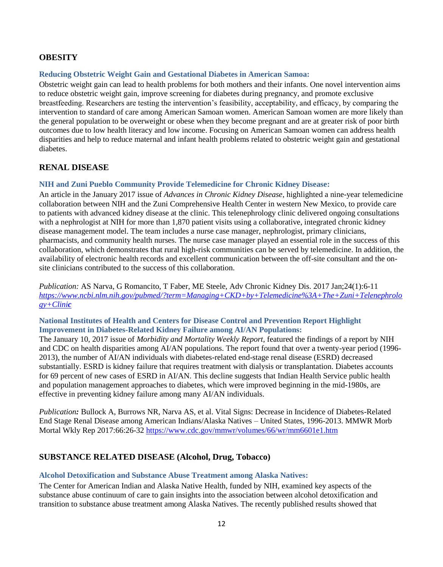## <span id="page-11-0"></span>**OBESITY**

#### <span id="page-11-1"></span>**Reducing Obstetric Weight Gain and Gestational Diabetes in American Samoa:**

Obstetric weight gain can lead to health problems for both mothers and their infants. One novel intervention aims to reduce obstetric weight gain, improve screening for diabetes during pregnancy, and promote exclusive breastfeeding. Researchers are testing the intervention's feasibility, acceptability, and efficacy, by comparing the intervention to standard of care among American Samoan women. American Samoan women are more likely than the general population to be overweight or obese when they become pregnant and are at greater risk of poor birth outcomes due to low health literacy and low income. Focusing on American Samoan women can address health disparities and help to reduce maternal and infant health problems related to obstetric weight gain and gestational diabetes.

#### <span id="page-11-2"></span>**RENAL DISEASE**

#### <span id="page-11-3"></span>**NIH and Zuni Pueblo Community Provide Telemedicine for Chronic Kidney Disease:**

An article in the January 2017 issue of *Advances in Chronic Kidney Disease*, highlighted a nine-year telemedicine collaboration between NIH and the Zuni Comprehensive Health Center in western New Mexico, to provide care to patients with advanced kidney disease at the clinic. This telenephrology clinic delivered ongoing consultations with a nephrologist at NIH for more than 1,870 patient visits using a collaborative, integrated chronic kidney disease management model. The team includes a nurse case manager, nephrologist, primary clinicians, pharmacists, and community health nurses. The nurse case manager played an essential role in the success of this collaboration, which demonstrates that rural high-risk communities can be served by telemedicine. In addition, the availability of electronic health records and excellent communication between the off-site consultant and the onsite clinicians contributed to the success of this collaboration.

*Publication:* AS Narva, G Romancito, T Faber, ME Steele, Adv Chronic Kidney Dis. 2017 Jan;24(1):6-11 *[https://www.ncbi.nlm.nih.gov/pubmed/?term=Managing+CKD+by+Telemedicine%3A+The+Zuni+Telenephrolo](https://www.ncbi.nlm.nih.gov/pubmed/?term=Managing+CKD+by+Telemedicine%3A+The+Zuni+Telenephrology+Clinic) [gy+Clini](https://www.ncbi.nlm.nih.gov/pubmed/?term=Managing+CKD+by+Telemedicine%3A+The+Zuni+Telenephrology+Clinic)c*

#### <span id="page-11-4"></span>**National Institutes of Health and Centers for Disease Control and Prevention Report Highlight Improvement in Diabetes-Related Kidney Failure among AI/AN Populations:**

The January 10, 2017 issue of *Morbidity and Mortality Weekly Report,* featured the findings of a report by NIH and CDC on health disparities among AI/AN populations. The report found that over a twenty-year period (1996- 2013), the number of AI/AN individuals with diabetes-related end-stage renal disease (ESRD) decreased substantially. ESRD is kidney failure that requires treatment with dialysis or transplantation. Diabetes accounts for 69 percent of new cases of ESRD in AI/AN. This decline suggests that Indian Health Service public health and population management approaches to diabetes, which were improved beginning in the mid-1980s, are effective in preventing kidney failure among many AI/AN individuals.

*Publication:* Bullock A, Burrows NR, Narva AS, et al. Vital Signs: Decrease in Incidence of Diabetes-Related End Stage Renal Disease among American Indians/Alaska Natives – United States, 1996-2013. MMWR Morb Mortal Wkly Rep 2017:66:26-32<https://www.cdc.gov/mmwr/volumes/66/wr/mm6601e1.htm>

#### <span id="page-11-5"></span>**SUBSTANCE RELATED DISEASE (Alcohol, Drug, Tobacco)**

#### <span id="page-11-6"></span>**Alcohol Detoxification and Substance Abuse Treatment among Alaska Natives:**

The Center for American Indian and Alaska Native Health, funded by NIH, examined key aspects of the substance abuse continuum of care to gain insights into the association between alcohol detoxification and transition to substance abuse treatment among Alaska Natives. The recently published results showed that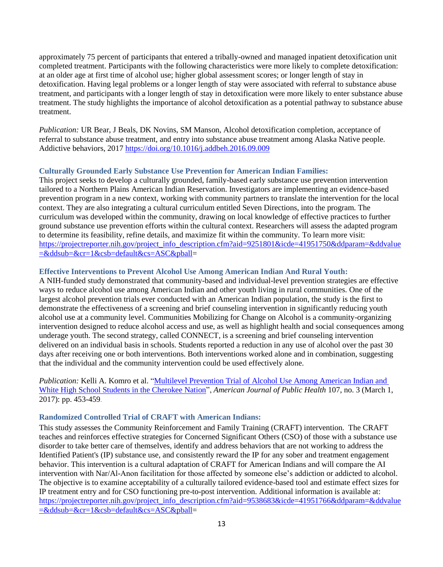approximately 75 percent of participants that entered a tribally-owned and managed inpatient detoxification unit completed treatment. Participants with the following characteristics were more likely to complete detoxification: at an older age at first time of alcohol use; higher global assessment scores; or longer length of stay in detoxification. Having legal problems or a longer length of stay were associated with referral to substance abuse treatment, and participants with a longer length of stay in detoxification were more likely to enter substance abuse treatment. The study highlights the importance of alcohol detoxification as a potential pathway to substance abuse treatment.

*Publication:* UR Bear, J Beals, DK Novins, SM Manson, Alcohol detoxification completion, acceptance of referral to substance abuse treatment, and entry into substance abuse treatment among Alaska Native people. Addictive behaviors, 2017 <https://doi.org/10.1016/j.addbeh.2016.09.009>

#### <span id="page-12-0"></span>**Culturally Grounded Early Substance Use Prevention for American Indian Families:**

This project seeks to develop a culturally grounded, family-based early substance use prevention intervention tailored to a Northern Plains American Indian Reservation. Investigators are implementing an evidence-based prevention program in a new context, working with community partners to translate the intervention for the local context. They are also integrating a cultural curriculum entitled Seven Directions, into the program. The curriculum was developed within the community, drawing on local knowledge of effective practices to further ground substance use prevention efforts within the cultural context. Researchers will assess the adapted program to determine its feasibility, refine details, and maximize fit within the community. To learn more visit: [https://projectreporter.nih.gov/project\\_info\\_description.cfm?aid=9251801&icde=41951750&ddparam=&ddvalue](https://projectreporter.nih.gov/project_info_description.cfm?aid=9251801&icde=41951750&ddparam=&ddvalue=&ddsub=&cr=1&csb=default&cs=ASC&pball) [=&ddsub=&cr=1&csb=default&cs=ASC&pball=](https://projectreporter.nih.gov/project_info_description.cfm?aid=9251801&icde=41951750&ddparam=&ddvalue=&ddsub=&cr=1&csb=default&cs=ASC&pball)

#### <span id="page-12-1"></span>**Effective Interventions to Prevent Alcohol Use Among American Indian And Rural Youth:**

A NIH-funded study demonstrated that community-based and individual-level prevention strategies are effective ways to reduce alcohol use among American Indian and other youth living in rural communities. One of the largest alcohol prevention trials ever conducted with an American Indian population, the study is the first to demonstrate the effectiveness of a screening and brief counseling intervention in significantly reducing youth alcohol use at a community level. Communities Mobilizing for Change on Alcohol is a community-organizing intervention designed to reduce alcohol access and use, as well as highlight health and social consequences among underage youth. The second strategy, called CONNECT, is a screening and brief counseling intervention delivered on an individual basis in schools. Students reported a reduction in any use of alcohol over the past 30 days after receiving one or both interventions. Both interventions worked alone and in combination, suggesting that the individual and the community intervention could be used effectively alone.

*Publication:* Kelli A. Komro et al. ["Multilevel Prevention Trial of Alcohol Use Among American Indian and](https://www.ncbi.nlm.nih.gov/pubmed/?term=Multilevel+Prevention+Trial+of+Alcohol+Use+Among+American+Indian+and+White+High+School+Students+in+the+Cherokee+Nation)  [White High School Students in the Cherokee Nation"](https://www.ncbi.nlm.nih.gov/pubmed/?term=Multilevel+Prevention+Trial+of+Alcohol+Use+Among+American+Indian+and+White+High+School+Students+in+the+Cherokee+Nation), *American Journal of Public Health* 107, no. 3 (March 1, 2017): pp. 453-459.

#### <span id="page-12-2"></span>**Randomized Controlled Trial of CRAFT with American Indians:**

This study assesses the Community Reinforcement and Family Training (CRAFT) intervention. The CRAFT teaches and reinforces effective strategies for Concerned Significant Others (CSO) of those with a substance use disorder to take better care of themselves, identify and address behaviors that are not working to address the Identified Patient's (IP) substance use, and consistently reward the IP for any sober and treatment engagement behavior. This intervention is a cultural adaptation of CRAFT for American Indians and will compare the AI intervention with Nar/Al-Anon facilitation for those affected by someone else's addiction or addicted to alcohol. The objective is to examine acceptability of a culturally tailored evidence-based tool and estimate effect sizes for IP treatment entry and for CSO functioning pre-to-post intervention. Additional information is available at: [https://projectreporter.nih.gov/project\\_info\\_description.cfm?aid=9538683&icde=41951766&ddparam=&ddvalue](https://projectreporter.nih.gov/project_info_description.cfm?aid=9538683&icde=41951766&ddparam=&ddvalue=&ddsub=&cr=1&csb=default&cs=ASC&pball) [=&ddsub=&cr=1&csb=default&cs=ASC&pball=](https://projectreporter.nih.gov/project_info_description.cfm?aid=9538683&icde=41951766&ddparam=&ddvalue=&ddsub=&cr=1&csb=default&cs=ASC&pball)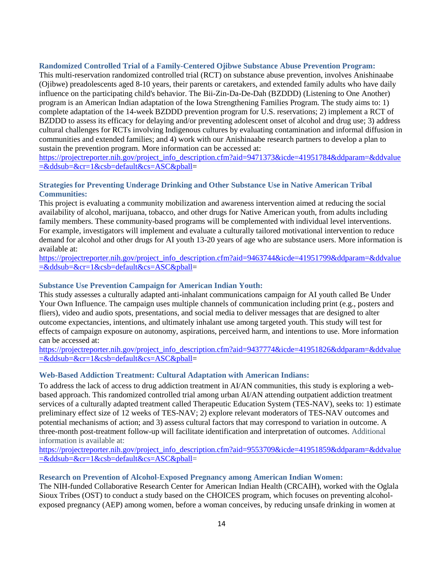#### <span id="page-13-0"></span>**Randomized Controlled Trial of a Family-Centered Ojibwe Substance Abuse Prevention Program:**

This multi-reservation randomized controlled trial (RCT) on substance abuse prevention, involves Anishinaabe (Ojibwe) preadolescents aged 8-10 years, their parents or caretakers, and extended family adults who have daily influence on the participating child's behavior. The Bii-Zin-Da-De-Dah (BZDDD) (Listening to One Another) program is an American Indian adaptation of the Iowa Strengthening Families Program. The study aims to: 1) complete adaptation of the 14-week BZDDD prevention program for U.S. reservations; 2) implement a RCT of BZDDD to assess its efficacy for delaying and/or preventing adolescent onset of alcohol and drug use; 3) address cultural challenges for RCTs involving Indigenous cultures by evaluating contamination and informal diffusion in communities and extended families; and 4) work with our Anishinaabe research partners to develop a plan to sustain the prevention program. More information can be accessed at:

[https://projectreporter.nih.gov/project\\_info\\_description.cfm?aid=9471373&icde=41951784&ddparam=&ddvalue](https://projectreporter.nih.gov/project_info_description.cfm?aid=9471373&icde=41951784&ddparam=&ddvalue=&ddsub=&cr=1&csb=default&cs=ASC&pball) [=&ddsub=&cr=1&csb=default&cs=ASC&pball=](https://projectreporter.nih.gov/project_info_description.cfm?aid=9471373&icde=41951784&ddparam=&ddvalue=&ddsub=&cr=1&csb=default&cs=ASC&pball)

#### <span id="page-13-1"></span>**Strategies for Preventing Underage Drinking and Other Substance Use in Native American Tribal Communities:**

This project is evaluating a community mobilization and awareness intervention aimed at reducing the social availability of alcohol, marijuana, tobacco, and other drugs for Native American youth, from adults including family members. These community-based programs will be complemented with individual level interventions. For example, investigators will implement and evaluate a culturally tailored motivational intervention to reduce demand for alcohol and other drugs for AI youth 13-20 years of age who are substance users. More information is available at:

[https://projectreporter.nih.gov/project\\_info\\_description.cfm?aid=9463744&icde=41951799&ddparam=&ddvalue](https://projectreporter.nih.gov/project_info_description.cfm?aid=9463744&icde=41951799&ddparam=&ddvalue=&ddsub=&cr=1&csb=default&cs=ASC&pball) [=&ddsub=&cr=1&csb=default&cs=ASC&pball=](https://projectreporter.nih.gov/project_info_description.cfm?aid=9463744&icde=41951799&ddparam=&ddvalue=&ddsub=&cr=1&csb=default&cs=ASC&pball)

#### <span id="page-13-2"></span>**Substance Use Prevention Campaign for American Indian Youth:**

This study assesses a culturally adapted anti-inhalant communications campaign for AI youth called Be Under Your Own Influence. The campaign uses multiple channels of communication including print (e.g., posters and fliers), video and audio spots, presentations, and social media to deliver messages that are designed to alter outcome expectancies, intentions, and ultimately inhalant use among targeted youth. This study will test for effects of campaign exposure on autonomy, aspirations, perceived harm, and intentions to use. More information can be accessed at:

[https://projectreporter.nih.gov/project\\_info\\_description.cfm?aid=9437774&icde=41951826&ddparam=&ddvalue](https://projectreporter.nih.gov/project_info_description.cfm?aid=9437774&icde=41951826&ddparam=&ddvalue=&ddsub=&cr=1&csb=default&cs=ASC&pball) [=&ddsub=&cr=1&csb=default&cs=ASC&pball=](https://projectreporter.nih.gov/project_info_description.cfm?aid=9437774&icde=41951826&ddparam=&ddvalue=&ddsub=&cr=1&csb=default&cs=ASC&pball)

#### <span id="page-13-3"></span>**Web-Based Addiction Treatment: Cultural Adaptation with American Indians:**

To address the lack of access to drug addiction treatment in AI/AN communities, this study is exploring a webbased approach. This randomized controlled trial among urban AI/AN attending outpatient addiction treatment services of a culturally adapted treatment called Therapeutic Education System (TES-NAV), seeks to: 1) estimate preliminary effect size of 12 weeks of TES-NAV; 2) explore relevant moderators of TES-NAV outcomes and potential mechanisms of action; and 3) assess cultural factors that may correspond to variation in outcome. A three-month post-treatment follow-up will facilitate identification and interpretation of outcomes. Additional information is available at:

[https://projectreporter.nih.gov/project\\_info\\_description.cfm?aid=9553709&icde=41951859&ddparam=&ddvalue](https://projectreporter.nih.gov/project_info_description.cfm?aid=9553709&icde=41951859&ddparam=&ddvalue=&ddsub=&cr=1&csb=default&cs=ASC&pball) [=&ddsub=&cr=1&csb=default&cs=ASC&pball=](https://projectreporter.nih.gov/project_info_description.cfm?aid=9553709&icde=41951859&ddparam=&ddvalue=&ddsub=&cr=1&csb=default&cs=ASC&pball)

#### <span id="page-13-4"></span>**Research on Prevention of Alcohol-Exposed Pregnancy among American Indian Women:**

The NIH-funded Collaborative Research Center for American Indian Health (CRCAIH), worked with the Oglala Sioux Tribes (OST) to conduct a study based on the CHOICES program, which focuses on preventing alcoholexposed pregnancy (AEP) among women, before a woman conceives, by reducing unsafe drinking in women at